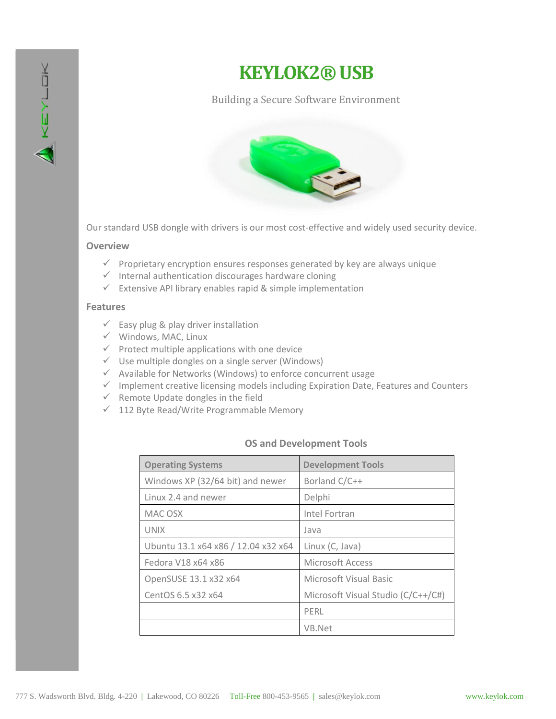

# **KEYLOK2®USB**

### Building a Secure Software Environment



Our standard USB dongle with drivers is our most cost-effective and widely used security device.

#### **Overview**

- $\checkmark$  Proprietary encryption ensures responses generated by key are always unique
- $\checkmark$  Internal authentication discourages hardware cloning
- $\checkmark$  Extensive API library enables rapid & simple implementation

#### **Features**

- $\checkmark$  Easy plug & play driver installation
- $\checkmark$  Windows, MAC, Linux
- $\checkmark$  Protect multiple applications with one device
- $\checkmark$  Use multiple dongles on a single server (Windows)
- $\checkmark$  Available for Networks (Windows) to enforce concurrent usage
- $\checkmark$  Implement creative licensing models including Expiration Date, Features and Counters
- $\checkmark$  Remote Update dongles in the field
- $\checkmark$  112 Byte Read/Write Programmable Memory

#### **OS and Development Tools**

| <b>Operating Systems</b>            | <b>Development Tools</b>           |
|-------------------------------------|------------------------------------|
| Windows XP (32/64 bit) and newer    | Borland C/C++                      |
| Linux 2.4 and newer                 | Delphi                             |
| MAC OSX                             | Intel Fortran                      |
| UNIX                                | Java                               |
| Ubuntu 13.1 x64 x86 / 12.04 x32 x64 | Linux (C, Java)                    |
| Fedora V18 x64 x86                  | Microsoft Access                   |
| OpenSUSE 13.1 x32 x64               | Microsoft Visual Basic             |
| CentOS 6.5 x32 x64                  | Microsoft Visual Studio (C/C++/C#) |
|                                     | PERL                               |
|                                     | VB.Net                             |